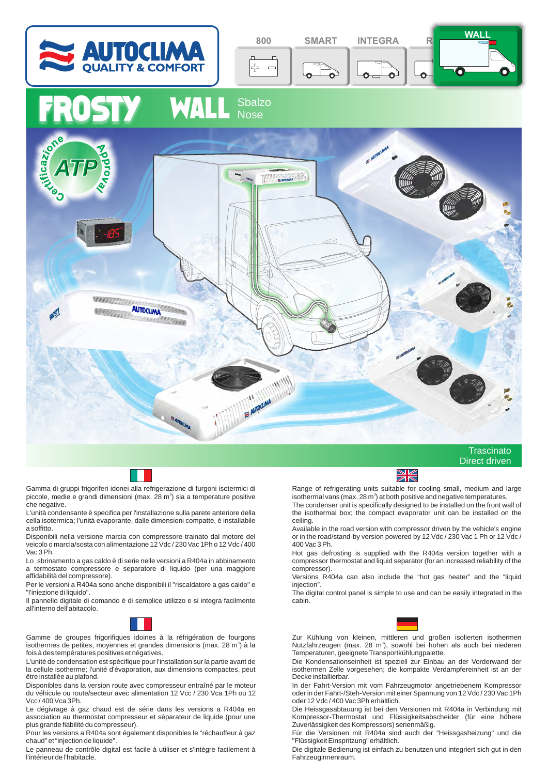



Gamma di gruppi frigoriferi idonei alla refrigerazione di furgoni isotermici di piccole, medie e grandi dimensioni (max. 28 m<sup>3</sup>) sia a temperature positive che negative.

L'unità condensante è specifica per l'installazione sulla parete anteriore della cella isotermica; l'unità evaporante, dalle dimensioni compatte, è installabile a soffitto.

Disponibili nella versione marcia con compressore trainato dal motore del veicolo o marcia/sosta con alimentazione 12 Vdc / 230 Vac 1Ph o 12 Vdc / 400 Vac 3 Ph.

Lo sbrinamento a gas caldo è di serie nelle versioni a R404a in abbinamento a termostato compressore e separatore di liquido (per una maggiore affidabilità del compressore).

Per le versioni a R404a sono anche disponibili il "riscaldatore a gas caldo" e "l'iniezione di liquido".

Il pannello digitale di comando è di semplice utilizzo e si integra facilmente all'interno dell'abitacolo.



Gamme de groupes frigorifiques idoines à la réfrigération de fourgons isothermes de petites, moyennes et grandes dimensions (max. 28 m<sup>3</sup>) à la fois à des températures positives et négatives.

L'unité de condensation est spécifique pour l'installation sur la partie avant de la cellule isotherme; l'unité d'évaporation, aux dimensions compactes, peut être installée au plafond.

Disponibles dans la version route avec compresseur entraîné par le moteur du véhicule ou route/secteur avec alimentation 12 Vcc / 230 Vca 1Ph ou 12 Vcc / 400 Vca 3Ph.

Le dégivrage à gaz chaud est de série dans les versions a R404a en association au thermostat compresseur et séparateur de liquide (pour une plus grande fiabilité du compresseur).

Pour les versions a R404a sont également disponibles le "réchauffeur à gaz chaud" et "injection de liquide".

Le panneau de contrôle digital est facile à utiliser et s'intègre facilement à l'intérieur de l'habitacle.



Range of refrigerating units suitable for cooling small, medium and large isothermal vans (max. 28 m<sup>3</sup>) at both positive and negative temperatures. The condenser unit is specifically designed to be installed on the front wall of

the isothermal box; the compact evaporator unit can be installed on the ceiling.

Available in the road version with compressor driven by the vehicle's engine or in the road/stand-by version powered by 12 Vdc / 230 Vac 1 Ph or 12 Vdc / 400 Vac 3 Ph.

Hot gas defrosting is supplied with the R404a version together with a compressor thermostat and liquid separator (for an increased reliability of the compressor).

Versions R404a can also include the "hot gas heater" and the "liquid injection".

The digital control panel is simple to use and can be easily integrated in the cabin.



Zur Kühlung von kleinen, mittleren und großen isolierten isothermen Nutzfahrzeugen (max. 28 m<sup>3</sup>), sowohl bei hohen als auch bei niederen Temperaturen, geeignete Transportkühlungpalette.

Die Kondensationseinheit ist speziell zur Einbau an der Vorderwand der isothermen Zelle vorgesehen; die kompakte Verdampfereinheit ist an der Decke installierbar.

In der Fahrt-Version mit vom Fahrzeugmotor angetriebenem Kompressor oder in der Fahrt-/Steh-Version mit einer Spannung von 12 Vdc / 230 Vac 1Ph oder 12 Vdc / 400 Vac 3Ph erhältlich.

Die Heissgasabtauung ist bei den Versionen mit R404a in Verbindung mit Kompressor-Thermostat und Flüssigkeitsabscheider (für eine höhere Zuverlässigkeit des Kompressors) serienmäßig.

Für die Versionen mit R404a sind auch der "Heissgasheizung" und die "Flüssigkeit Einspritzung" erhältlich.

Die digitale Bedienung ist einfach zu benutzen und integriert sich gut in den Fahrzeuginnenraum.